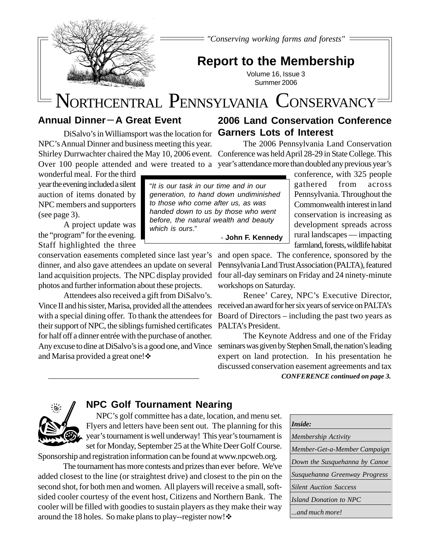*"Conserving working farms and forests"*

# **Report to the Membership**

Volume 16, Issue 3 Summer 2006

# NORTHCENTRAL PENNSYLVANIA CONSERVANCY

# **Annual Dinner-A Great Event**

DiSalvo's in Williamsport was the location for **Garners Lots of Interest** NPC's Annual Dinner and business meeting this year. Shirley Durrwachter chaired the May 10, 2006 event. Conference was held April 28-29 in State College. This

wonderful meal. For the third year the evening included a silent auction of items donated by NPC members and supporters (see page 3).

A project update was the "program" for the evening. Staff highlighted the three

conservation easements completed since last year's dinner, and also gave attendees an update on several land acquisition projects. The NPC display provided four all-day seminars on Friday and 24 ninety-minute photos and further information about these projects.

Attendees also received a gift from DiSalvo's. Vince II and his sister, Marisa, provided all the attendees received an award for her six years of service on PALTA's with a special dining offer. To thank the attendees for their support of NPC, the siblings furnished certificates for half off a dinner entrée with the purchase of another. Any excuse to dine at DiSalvo's is a good one, and Vince and Marisa provided a great one!

The 2006 Pennsylvania Land Conservation

Over 100 people attended and were treated to a year's attendance more than doubled any previous year's

**2006 Land Conservation Conference**

conference, with 325 people gathered from across Pennsylvania. Throughout the Commonwealth interest in land conservation is increasing as development spreads across rural landscapes — impacting farmland, forests, wildlife habitat

and open space. The conference, sponsored by the Pennsylvania Land Trust Association (PALTA), featured workshops on Saturday.

Renee' Carey, NPC's Executive Director, Board of Directors – including the past two years as PALTA's President.

The Keynote Address and one of the Friday seminars was given by Stephen Small, the nation's leading expert on land protection. In his presentation he discussed conservation easement agreements and tax

*CONFERENCE continued on page 3.*



# **NPC Golf Tournament Nearing**

 NPC's golf committee has a date, location, and menu set. Flyers and letters have been sent out. The planning for this year's tournament is well underway! This year's tournament is set for Monday, September 25 at the White Deer Golf Course.

Sponsorship and registration information can be found at www.npcweb.org.

The tournament has more contests and prizes than ever before. We've added closest to the line (or straightest drive) and closest to the pin on the second shot, for both men and women. All players will receive a small, softsided cooler courtesy of the event host, Citizens and Northern Bank. The cooler will be filled with goodies to sustain players as they make their way around the 18 holes. So make plans to play--register now!  $\diamond$ 



"*It is our task in our time and in our generation, to hand down undiminished to those who come after us, as was handed down to us by those who went before, the natural wealth and beauty which is ours*." - **John F. Kennedy**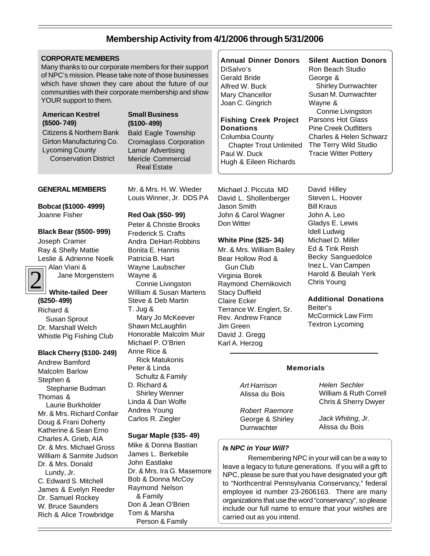# **Membership Activity from 4/1/2006 through 5/31/2006**

## **CORPORATE MEMBERS**

Many thanks to our corporate members for their support of NPC's mission. Please take note of those businesses which have shown they care about the future of our communities with their corporate membership and show YOUR support to them.

### **American Kestrel (\$500- 749)**

Citizens & Northern Bank Girton Manufacturing Co. Lycoming County Conservation District

## **Small Business (\$100- 499)**

Bald Eagle Township Cromaglass Corporation Lamar Advertising Mericle Commercial Real Estate

#### **GENERAL MEMBERS**

**Bobcat (\$1000- 4999)** Joanne Fisher

# **Black Bear (\$500- 999)**

Joseph Cramer Ray & Shelly Mattie Leslie & Adrienne Noelk Alan Viani &

2

Jane Morgenstern

#### **White-tailed Deer (\$250- 499)**

Richard & Susan Sprout Dr. Marshall Welch Whistle Pig Fishing Club

#### **Black Cherry (\$100- 249)**

Andrew Bamford Malcolm Barlow Stephen & Stephanie Budman Thomas & Laurie Burkholder Mr. & Mrs. Richard Confair Doug & Frani Doherty Katherine & Sean Erno Charles A. Grieb, AIA Dr. & Mrs. Michael Gross William & Sarmite Judson Dr. & Mrs. Donald Lundy, Jr. C. Edward S. Mitchell James & Evelyn Reeder Dr. Samuel Rockey W. Bruce Saunders Rich & Alice Trowbridge

Mr. & Mrs. H. W. Wieder Louis Winner, Jr. DDS PA

**Red Oak (\$50- 99)** Peter & Christie Brooks Frederick S. Crafts Andra DeHart-Robbins Bonita E. Hannis Patricia B. Hart Wayne Laubscher Wayne & Connie Livingston William & Susan Martens Steve & Deb Martin T. Jug & Mary Jo McKeever Shawn McLaughlin Honorable Malcolm Muir Michael P. O'Brien Anne Rice & Rick Matukonis Peter & Linda Schultz & Family D. Richard & Shirley Wenner Linda & Dan Wolfe Andrea Young

# **Sugar Maple (\$35- 49)**

Carlos R. Ziegler

Mike & Donna Bastian James L. Berkebile John Eastlake Dr. & Mrs. Ira G. Masemore Bob & Donna McCoy Raymond Nelson & Family Don & Jean O'Brien Tom & Marsha Person & Family

#### **Annual Dinner Donors**

DiSalvo's Gerald Bride Alfred W. Buck Mary Chancellor Joan C. Gingrich

#### **Fishing Creek Project Donations** Columbia County

 Chapter Trout Unlimited Paul W. Duck Hugh & Eileen Richards

Michael J. Piccuta MD David L. Shollenberger Jason Smith John & Carol Wagner Don Witter

#### **White Pine (\$25- 34)**

Mr. & Mrs. William Bailey Bear Hollow Rod & Gun Club Virginia Borek Raymond Chernikovich Stacy Duffield Claire Ecker Terrance W. Englert, Sr. Rev. Andrew France Jim Green David J. Gregg Karl A. Herzog

**Silent Auction Donors** Ron Beach Studio George & Shirley Durrwachter Susan M. Durrwachter Wayne & Connie Livingston Parsons Hot Glass Pine Creek Outfitters

Charles & Helen Schwarz The Terry Wild Studio Tracie Witter Pottery

David Hilley Steven L. Hoover Bill Kraus John A. Leo Gladys E. Lewis Idell Ludwig Michael D. Miller Ed & Tink Reish Becky Sanguedolce Inez L. Van Campen Harold & Beulah Yerk Chris Young

#### **Additional Donations** Beiter's

McCormick Law Firm Textron Lycoming

# **Memorials**

*Art Harrison* Alissa du Bois

*Robert Raemore* George & Shirley **Durrwachter** 

*Helen Sechler* William & Ruth Correll Chris & Sherry Dwyer

*Jack Whiting, Jr.* Alissa du Bois

# *Is NPC in Your Will?*

Remembering NPC in your will can be a way to leave a legacy to future generations. If you will a gift to NPC, please be sure that you have designated your gift to "Northcentral Pennsylvania Conservancy," federal employee id number 23-2606163. There are many organizations that use the word "conservancy", so please include our full name to ensure that your wishes are carried out as you intend.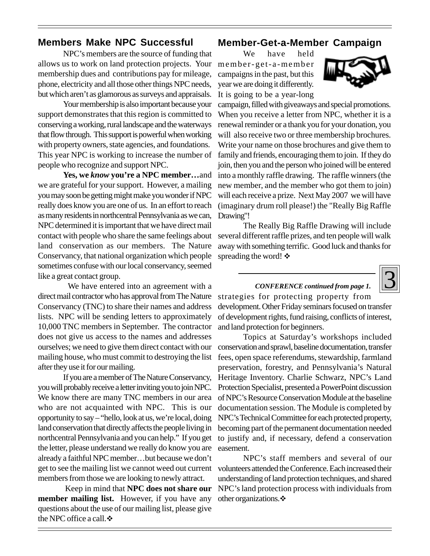# **Members Make NPC Successful**

NPC's members are the source of funding that allows us to work on land protection projects. Your membership dues and contributions pay for mileage, phone, electricity and all those other things NPC needs, but which aren't as glamorous as surveys and appraisals.

Your membership is also important because your support demonstrates that this region is committed to conserving a working, rural landscape and the waterways that flow through. This support is powerful when working with property owners, state agencies, and foundations. This year NPC is working to increase the number of people who recognize and support NPC.

**Yes, we** *know* **you're a NPC member…**and we are grateful for your support. However, a mailing you may soon be getting might make you wonder if NPC really does know you are one of us. In an effort to reach as many residents in northcentral Pennsylvania as we can, NPC determined it is important that we have direct mail contact with people who share the same feelings about land conservation as our members. The Nature Conservancy, that national organization which people sometimes confuse with our local conservancy, seemed like a great contact group.

 We have entered into an agreement with a direct mail contractor who has approval from The Nature Conservancy (TNC) to share their names and address lists. NPC will be sending letters to approximately 10,000 TNC members in September. The contractor does not give us access to the names and addresses ourselves; we need to give them direct contact with our mailing house, who must commit to destroying the list after they use it for our mailing.

If you are a member of The Nature Conservancy, you will probably receive a letter inviting you to join NPC. We know there are many TNC members in our area who are not acquainted with NPC. This is our opportunity to say – "hello, look at us, we're local, doing land conservation that directly affects the people living in northcentral Pennsylvania and you can help." If you get the letter, please understand we really do know you are already a faithful NPC member…but because we don't members from those we are looking to newly attract.

 Keep in mind that **NPC does not share our member mailing list.** However, if you have any questions about the use of our mailing list, please give the NPC office a call.  $\div$ 

# **Member-Get-a-Member Campaign**

We have held member-get-a-member campaigns in the past, but this year we are doing it differently. It is going to be a year-long



campaign, filled with giveaways and special promotions. When you receive a letter from NPC, whether it is a renewal reminder or a thank you for your donation, you will also receive two or three membership brochures. Write your name on those brochures and give them to family and friends, encouraging them to join. If they do join, then you and the person who joined will be entered into a monthly raffle drawing. The raffle winners (the new member, and the member who got them to join) will each receive a prize. Next May 2007 we will have (imaginary drum roll please!) the "Really Big Raffle Drawing"!

The Really Big Raffle Drawing will include several different raffle prizes, and ten people will walk away with something terrific. Good luck and thanks for spreading the word!  $\ddot{\bullet}$ 

# 3

# *CONFERENCE continued from page 1.*

strategies for protecting property from development. Other Friday seminars focused on transfer of development rights, fund raising, conflicts of interest, and land protection for beginners.

Topics at Saturday's workshops included conservation and sprawl, baseline documentation, transfer fees, open space referendums, stewardship, farmland preservation, forestry, and Pennsylvania's Natural Heritage Inventory. Charlie Schwarz, NPC's Land Protection Specialist, presented a PowerPoint discussion of NPC's Resource Conservation Module at the baseline documentation session. The Module is completed by NPC's Technical Committee for each protected property, becoming part of the permanent documentation needed to justify and, if necessary, defend a conservation easement.

get to see the mailing list we cannot weed out current volunteers attended the Conference. Each increased their NPC's staff members and several of our understanding of land protection techniques, and shared NPC's land protection process with individuals from other organizations.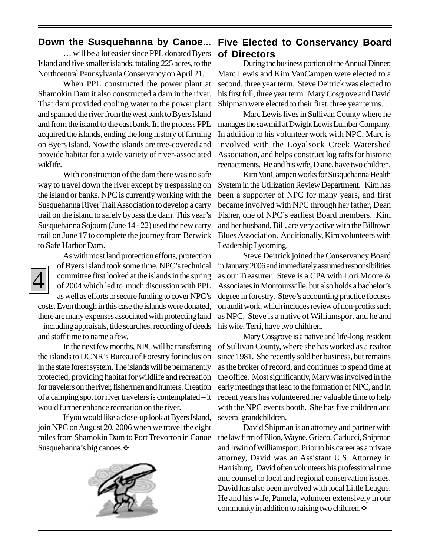… will be a lot easier since PPL donated Byers Island and five smaller islands, totaling 225 acres, to the Northcentral Pennsylvania Conservancy on April 21.

When PPL constructed the power plant at Shamokin Dam it also constructed a dam in the river. That dam provided cooling water to the power plant and spanned the river from the west bank to Byers Island and from the island to the east bank. In the process PPL acquired the islands, ending the long history of farming on Byers Island. Now the islands are tree-covered and provide habitat for a wide variety of river-associated wildlife.

With construction of the dam there was no safe way to travel down the river except by trespassing on the island or banks. NPC is currently working with the Susquehanna River Trail Association to develop a carry trail on the island to safely bypass the dam. This year's Susquehanna Sojourn (June 14 - 22) used the new carry trail on June 17 to complete the journey from Berwick to Safe Harbor Dam.



As with most land protection efforts, protection of Byers Island took some time. NPC's technical committee first looked at the islands in the spring of 2004 which led to much discussion with PPL as well as efforts to secure funding to cover NPC's costs. Even though in this case the islands were donated,

there are many expenses associated with protecting land – including appraisals, title searches, recording of deeds and staff time to name a few.

In the next few months, NPC will be transferring the islands to DCNR's Bureau of Forestry for inclusion in the state forest system. The islands will be permanently protected, providing habitat for wildlife and recreation for travelers on the river, fishermen and hunters. Creation of a camping spot for river travelers is contemplated – it would further enhance recreation on the river.

If you would like a close-up look at Byers Island, join NPC on August 20, 2006 when we travel the eight miles from Shamokin Dam to Port Trevorton in Canoe Susquehanna's big canoes. ❖



# **Down the Susquehanna by Canoe... Five Elected to Conservancy Board of Directors**

During the business portion of the Annual Dinner, Marc Lewis and Kim VanCampen were elected to a second, three year term. Steve Deitrick was elected to his first full, three year term. Mary Cosgrove and David Shipman were elected to their first, three year terms.

Marc Lewis lives in Sullivan County where he manages the sawmill at Dwight Lewis Lumber Company. In addition to his volunteer work with NPC, Marc is involved with the Loyalsock Creek Watershed Association, and helps construct log rafts for historic reenactments. He and his wife, Diane, have two children.

Kim VanCampen works for Susquehanna Health System in the Utilization Review Department. Kim has been a supporter of NPC for many years, and first became involved with NPC through her father, Dean Fisher, one of NPC's earliest Board members. Kim and her husband, Bill, are very active with the Billtown Blues Association. Additionally, Kim volunteers with Leadership Lycoming.

Steve Deitrick joined the Conservancy Board in January 2006 and immediately assumed responsibilities as our Treasurer. Steve is a CPA with Lori Moore & Associates in Montoursville, but also holds a bachelor's degree in forestry. Steve's accounting practice focuses on audit work, which includes review of non-profits such as NPC. Steve is a native of Williamsport and he and his wife, Terri, have two children.

Mary Cosgrove is a native and life-long resident of Sullivan County, where she has worked as a realtor since 1981. She recently sold her business, but remains as the broker of record, and continues to spend time at the office. Most significantly, Mary was involved in the early meetings that lead to the formation of NPC, and in recent years has volunteered her valuable time to help with the NPC events booth. She has five children and several grandchildren.

David Shipman is an attorney and partner with the law firm of Elion, Wayne, Grieco, Carlucci, Shipman and Irwin of Williamsport. Prior to his career as a private attorney, David was an Assistant U.S. Attorney in Harrisburg. David often volunteers his professional time and counsel to local and regional conservation issues. David has also been involved with local Little League. He and his wife, Pamela, volunteer extensively in our community in addition to raising two children.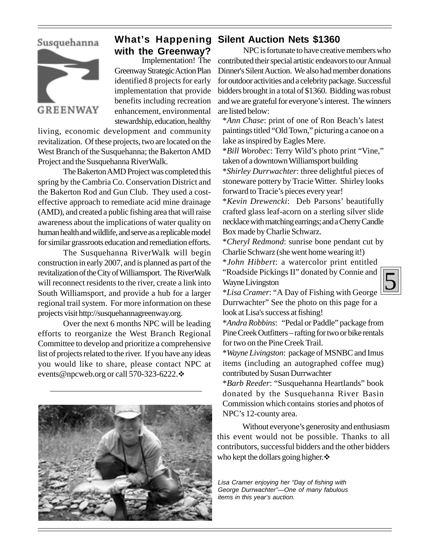# Susquehanna



# **What's Happening Silent Auction Nets \$1360 with the Greenway?**

 Implementation! The Greenway Strategic Action Plan identified 8 projects for early implementation that provide benefits including recreation enhancement, environmental stewardship, education, healthy

living, economic development and community revitalization. Of these projects, two are located on the West Branch of the Susquehanna; the Bakerton AMD Project and the Susquehanna RiverWalk.

The Bakerton AMD Project was completed this spring by the Cambria Co. Conservation District and the Bakerton Rod and Gun Club. They used a costeffective approach to remediate acid mine drainage (AMD), and created a public fishing area that will raise awareness about the implications of water quality on human health and wildlife, and serve as a replicable model for similar grassroots education and remediation efforts.

The Susquehanna RiverWalk will begin construction in early 2007, and is planned as part of the revitalization of the City of Williamsport. The RiverWalk will reconnect residents to the river, create a link into South Williamsport, and provide a hub for a larger regional trail system. For more information on these projects visit http://susquehannagreenway.org.

Over the next 6 months NPC will be leading efforts to reorganize the West Branch Regional Committee to develop and prioritize a comprehensive list of projects related to the river. If you have any ideas you would like to share, please contact NPC at events@npcweb.org or call 570-323-6222. ↔



NPC is fortunate to have creative members who contributed their special artistic endeavors to our Annual Dinner's Silent Auction. We also had member donations for outdoor activities and a celebrity package. Successful bidders brought in a total of \$1360. Bidding was robust and we are grateful for everyone's interest. The winners are listed below:

\**Ann Chase*: print of one of Ron Beach's latest paintings titled "Old Town," picturing a canoe on a lake as inspired by Eagles Mere.

\**Bill Worobec*: Terry Wild's photo print "Vine," taken of a downtown Williamsport building

\**Shirley Durrwachter*: three delightful pieces of stoneware pottery by Tracie Witter. Shirley looks forward to Tracie's pieces every year!

\**Kevin Drewencki*: Deb Parsons' beautifully crafted glass leaf-acorn on a sterling silver slide necklace with matching earrings; and a Cherry Candle Box made by Charlie Schwarz.

\**Cheryl Redmond*: sunrise bone pendant cut by Charlie Schwarz (she went home wearing it!)

\**John Hibbert*: a watercolor print entitled "Roadside Pickings II" donated by Connie and Wayne Livingston



\**Lisa Cramer*: "A Day of Fishing with George Durrwachter" See the photo on this page for a look at Lisa's success at fishing!

\**Andra Robbins*: "Pedal or Paddle" package from Pine Creek Outfitters – rafting for two or bike rentals for two on the Pine Creek Trail.

\**Wayne Livingston*: package of MSNBC and Imus items (including an autographed coffee mug) contributed by Susan Durrwachter

\**Barb Reeder*: "Susquehanna Heartlands" book donated by the Susquehanna River Basin Commission which contains stories and photos of NPC's 12-county area.

Without everyone's generosity and enthusiasm this event would not be possible. Thanks to all contributors, successful bidders and the other bidders who kept the dollars going higher. $\cdot$ 

*Lisa Cramer enjoying her "Day of fishing with George Durrwachter"—One of many fabulous items in this year's auction.*